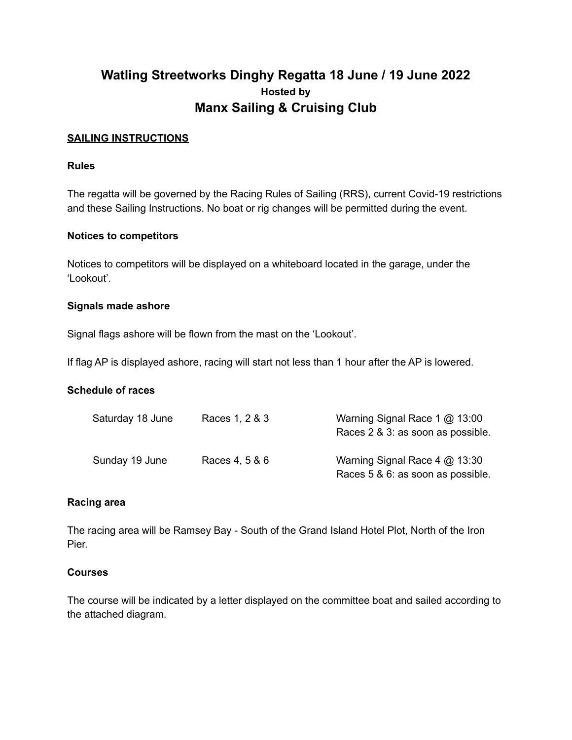# **Watling Streetworks Dinghy Regatta 18 June / 19 June 2022 Hosted by Manx Sailing & Cruising Club**

### **SAILING INSTRUCTIONS**

#### **Rules**

The regatta will be governed by the Racing Rules of Sailing (RRS), current Covid-19 restrictions and these Sailing Instructions. No boat or rig changes will be permitted during the event.

#### **Notices to competitors**

Notices to competitors will be displayed on a whiteboard located in the garage, under the 'Lookout'.

#### **Signals made ashore**

Signal flags ashore will be flown from the mast on the 'Lookout'.

If flag AP is displayed ashore, racing will start not less than 1 hour after the AP is lowered.

#### **Schedule of races**

| Saturday 18 June | Races 1, 2 & 3 | Warning Signal Race 1 @ 13:00<br>Races 2 & 3: as soon as possible. |
|------------------|----------------|--------------------------------------------------------------------|
| Sunday 19 June   | Races 4, 5 & 6 | Warning Signal Race 4 @ 13:30<br>Races 5 & 6: as soon as possible. |

#### **Racing area**

The racing area will be Ramsey Bay - South of the Grand Island Hotel Plot, North of the Iron Pier.

#### **Courses**

The course will be indicated by a letter displayed on the committee boat and sailed according to the attached diagram.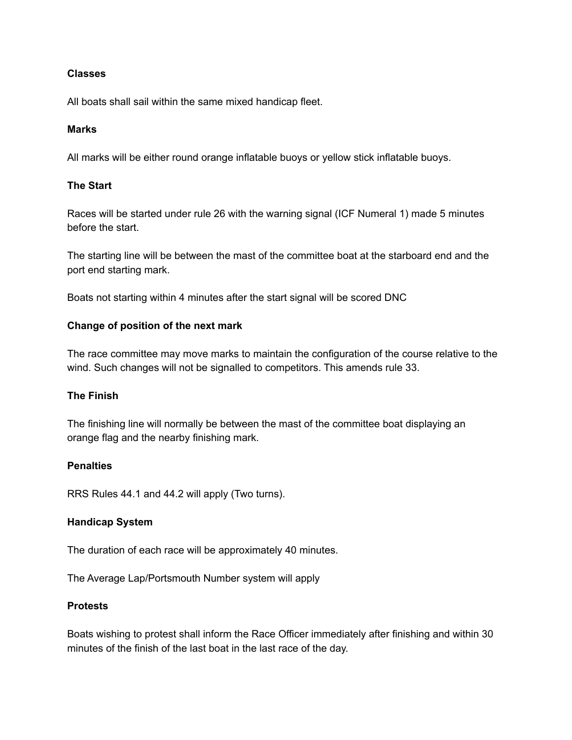### **Classes**

All boats shall sail within the same mixed handicap fleet.

### **Marks**

All marks will be either round orange inflatable buoys or yellow stick inflatable buoys.

### **The Start**

Races will be started under rule 26 with the warning signal (ICF Numeral 1) made 5 minutes before the start.

The starting line will be between the mast of the committee boat at the starboard end and the port end starting mark.

Boats not starting within 4 minutes after the start signal will be scored DNC

#### **Change of position of the next mark**

The race committee may move marks to maintain the configuration of the course relative to the wind. Such changes will not be signalled to competitors. This amends rule 33.

## **The Finish**

The finishing line will normally be between the mast of the committee boat displaying an orange flag and the nearby finishing mark.

#### **Penalties**

RRS Rules 44.1 and 44.2 will apply (Two turns).

#### **Handicap System**

The duration of each race will be approximately 40 minutes.

The Average Lap/Portsmouth Number system will apply

#### **Protests**

Boats wishing to protest shall inform the Race Officer immediately after finishing and within 30 minutes of the finish of the last boat in the last race of the day.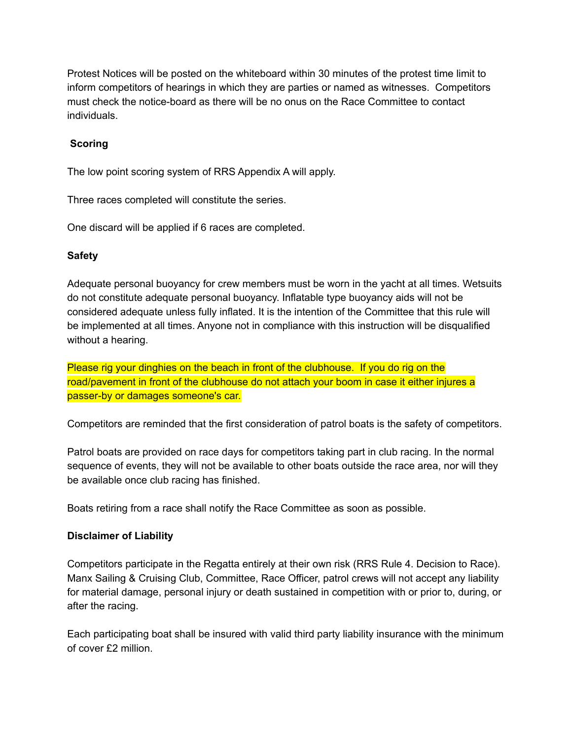Protest Notices will be posted on the whiteboard within 30 minutes of the protest time limit to inform competitors of hearings in which they are parties or named as witnesses. Competitors must check the notice-board as there will be no onus on the Race Committee to contact individuals.

# **Scoring**

The low point scoring system of RRS Appendix A will apply.

Three races completed will constitute the series.

One discard will be applied if 6 races are completed.

# **Safety**

Adequate personal buoyancy for crew members must be worn in the yacht at all times. Wetsuits do not constitute adequate personal buoyancy. Inflatable type buoyancy aids will not be considered adequate unless fully inflated. It is the intention of the Committee that this rule will be implemented at all times. Anyone not in compliance with this instruction will be disqualified without a hearing.

Please rig your dinghies on the beach in front of the clubhouse. If you do rig on the road/pavement in front of the clubhouse do not attach your boom in case it either injures a passer-by or damages someone's car.

Competitors are reminded that the first consideration of patrol boats is the safety of competitors.

Patrol boats are provided on race days for competitors taking part in club racing. In the normal sequence of events, they will not be available to other boats outside the race area, nor will they be available once club racing has finished.

Boats retiring from a race shall notify the Race Committee as soon as possible.

# **Disclaimer of Liability**

Competitors participate in the Regatta entirely at their own risk (RRS Rule 4. Decision to Race). Manx Sailing & Cruising Club, Committee, Race Officer, patrol crews will not accept any liability for material damage, personal injury or death sustained in competition with or prior to, during, or after the racing.

Each participating boat shall be insured with valid third party liability insurance with the minimum of cover £2 million.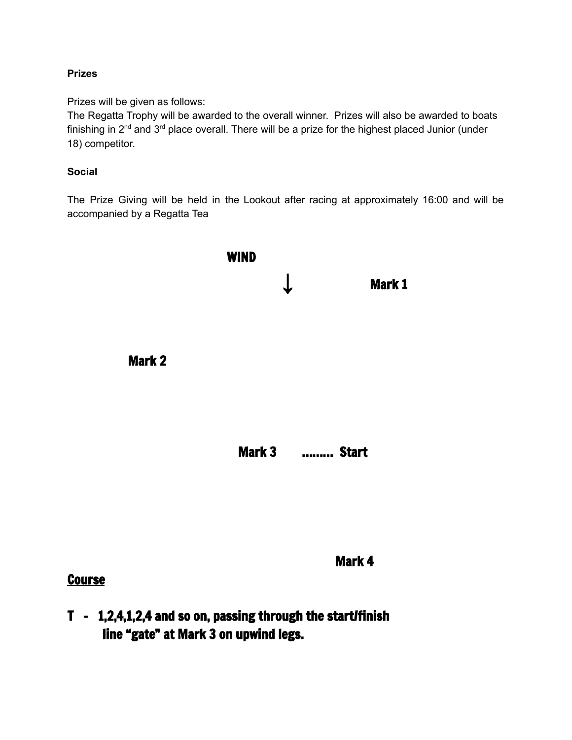# **Prizes**

Prizes will be given as follows:

The Regatta Trophy will be awarded to the overall winner. Prizes will also be awarded to boats finishing in 2<sup>nd</sup> and 3<sup>rd</sup> place overall. There will be a prize for the highest placed Junior (under 18) competitor.

# **Social**

The Prize Giving will be held in the Lookout after racing at approximately 16:00 and will be accompanied by a Regatta Tea



# **Course**

Mark 4

T - 1,2,4,1,2,4 and so on, passing through the start/finish line "gate" at Mark 3 on upwind legs.